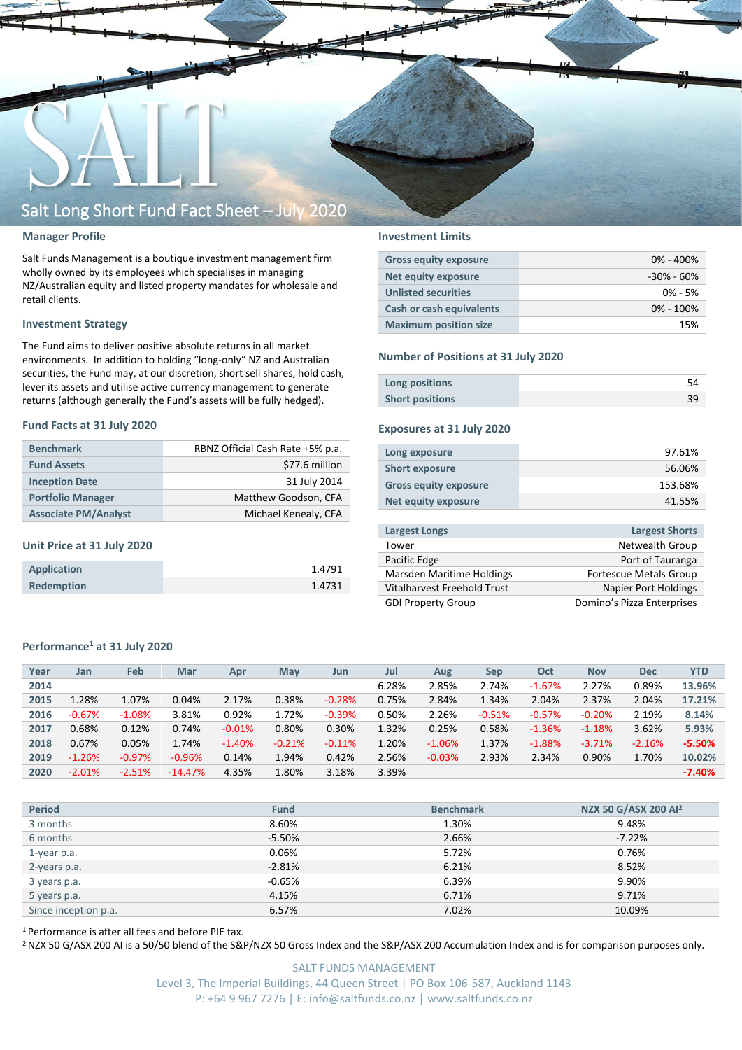

#### **Manager Profile**

Salt Funds Management is a boutique investment management firm wholly owned by its employees which specialises in managing NZ/Australian equity and listed property mandates for wholesale and retail clients.

#### **Investment Strategy**

The Fund aims to deliver positive absolute returns in all market environments. In addition to holding "long-only" NZ and Australian securities, the Fund may, at our discretion, short sell shares, hold cash, lever its assets and utilise active currency management to generate returns (although generally the Fund's assets will be fully hedged).

#### **Fund Facts at 31 July 2020**

| <b>Benchmark</b>            | RBNZ Official Cash Rate +5% p.a. |
|-----------------------------|----------------------------------|
| <b>Fund Assets</b>          | \$77.6 million                   |
| <b>Inception Date</b>       | 31 July 2014                     |
| <b>Portfolio Manager</b>    | Matthew Goodson, CFA             |
| <b>Associate PM/Analyst</b> | Michael Kenealy, CFA             |

#### **Unit Price at 31 July 2020**

| Application       | 1.4791 |
|-------------------|--------|
| <b>Redemption</b> | 1.4731 |

#### **Investment Limits**

| <b>Gross equity exposure</b> | $0\% - 400\%$  |
|------------------------------|----------------|
| Net equity exposure          | $-30\% - 60\%$ |
| <b>Unlisted securities</b>   | $0\% - 5\%$    |
| Cash or cash equivalents     | $0\% - 100\%$  |
| <b>Maximum position size</b> | 15%            |

#### **Number of Positions at 31 July 2020**

| Long positions         |  |
|------------------------|--|
| <b>Short positions</b> |  |

#### **Exposures at 31 July 2020**

| Long exposure                | 97.61%  |
|------------------------------|---------|
| <b>Short exposure</b>        | 56.06%  |
| <b>Gross equity exposure</b> | 153.68% |
| Net equity exposure          | 41.55%  |
|                              |         |

| <b>Largest Longs</b>        | <b>Largest Shorts</b>         |
|-----------------------------|-------------------------------|
| Tower                       | Netwealth Group               |
| Pacific Edge                | Port of Tauranga              |
| Marsden Maritime Holdings   | <b>Fortescue Metals Group</b> |
| Vitalharvest Freehold Trust | <b>Napier Port Holdings</b>   |
| <b>GDI Property Group</b>   | Domino's Pizza Enterprises    |
|                             |                               |

#### **Performance<sup>1</sup> at 31 July 2020**

| Feb<br>Mar<br>Year<br>May<br><b>Nov</b><br>Jul<br>Oct<br><b>Dec</b><br>Apr<br>Sep<br>Jan<br>Aug<br>Jun<br>6.28%<br>2.27%<br>2.85%<br>2.74%<br>$-1.67%$<br>0.89%<br>2014 | <b>YTD</b><br>13.96% |
|-------------------------------------------------------------------------------------------------------------------------------------------------------------------------|----------------------|
|                                                                                                                                                                         |                      |
|                                                                                                                                                                         |                      |
| 1.28%<br>0.38%<br>2.37%<br>1.07%<br>0.04%<br>2.17%<br>0.75%<br>2.84%<br>1.34%<br>2.04%<br>2.04%<br>2015<br>$-0.28%$                                                     | 17.21%               |
| 1.72%<br>3.81%<br>0.92%<br>$-0.39%$<br>0.50%<br>2.26%<br>$-0.51%$<br>$-0.67%$<br>$-0.57%$<br>2.19%<br>$-1.08%$<br>$-0.20%$<br>2016                                      | 8.14%                |
| 1.32%<br>0.68%<br>0.12%<br>0.74%<br>0.80%<br>0.30%<br>0.25%<br>0.58%<br>3.62%<br>$-0.01%$<br>2017<br>$-1.36%$<br>$-1.18%$                                               | 5.93%                |
| 1.20%<br>1.37%<br>0.67%<br>0.05%<br>1.74%<br>$-0.21%$<br>2018<br>$-1.40%$<br>$-0.11%$<br>$-1.06%$<br>$-1.88%$<br>$-3.71%$<br>$-2.16%$                                   | $-5.50%$             |
| 1.94%<br>2.56%<br>2.93%<br>2.34%<br>$-1.26%$<br>$-0.97%$<br>0.14%<br>0.42%<br>0.90%<br>1.70%<br>$-0.96%$<br>$-0.03%$<br>2019                                            | 10.02%               |
| 3.39%<br>1.80%<br>4.35%<br>3.18%<br>$-2.01%$<br>$-2.51%$<br>$-14.47%$<br>2020                                                                                           | $-7.40%$             |

| <b>Period</b>        | <b>Fund</b> | <b>Benchmark</b> | NZX 50 G/ASX 200 Al <sup>2</sup> |
|----------------------|-------------|------------------|----------------------------------|
| 3 months             | 8.60%       | 1.30%            | 9.48%                            |
| 6 months             | $-5.50%$    | 2.66%            | $-7.22%$                         |
| 1-year p.a.          | 0.06%       | 5.72%            | 0.76%                            |
| 2-years p.a.         | $-2.81%$    | 6.21%            | 8.52%                            |
| 3 years p.a.         | $-0.65%$    | 6.39%            | 9.90%                            |
| 5 years p.a.         | 4.15%       | 6.71%            | 9.71%                            |
| Since inception p.a. | 6.57%       | 7.02%            | 10.09%                           |
|                      |             |                  |                                  |

<sup>1</sup> Performance is after all fees and before PIE tax.

<sup>2</sup> NZX 50 G/ASX 200 AI is a 50/50 blend of the S&P/NZX 50 Gross Index and the S&P/ASX 200 Accumulation Index and is for comparison purposes only.

SALT FUNDS MANAGEMENT Level 3, The Imperial Buildings, 44 Queen Street | PO Box 106-587, Auckland 1143 P: +64 9 967 7276 | E: info@saltfunds.co.nz | www.saltfunds.co.nz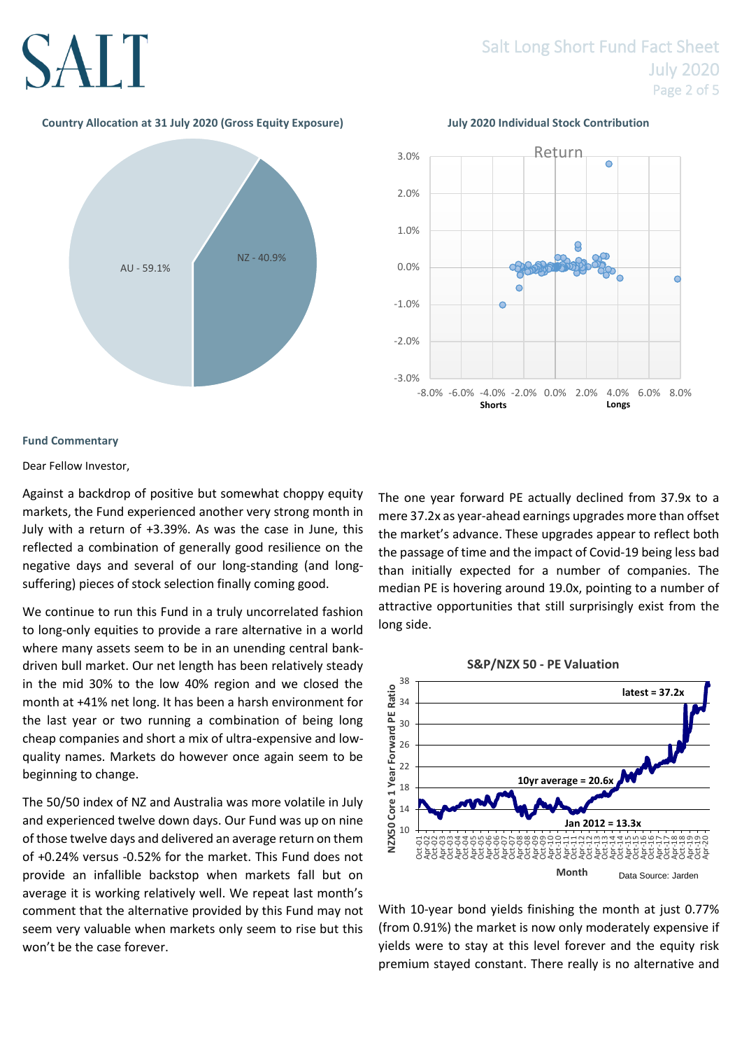# SALT

### Salt Long Short Fund Fact Sheet July 2020 Page 2 of 5

#### **Country Allocation at 31 July 2020 (Gross Equity Exposure) July 2020 Individual Stock Contribution**





### **Fund Commentary**

#### Dear Fellow Investor,

Against a backdrop of positive but somewhat choppy equity markets, the Fund experienced another very strong month in July with a return of +3.39%. As was the case in June, this reflected a combination of generally good resilience on the negative days and several of our long-standing (and longsuffering) pieces of stock selection finally coming good.

We continue to run this Fund in a truly uncorrelated fashion to long-only equities to provide a rare alternative in a world where many assets seem to be in an unending central bankdriven bull market. Our net length has been relatively steady in the mid 30% to the low 40% region and we closed the month at +41% net long. It has been a harsh environment for the last year or two running a combination of being long cheap companies and short a mix of ultra-expensive and lowquality names. Markets do however once again seem to be beginning to change.

The 50/50 index of NZ and Australia was more volatile in July and experienced twelve down days. Our Fund was up on nine of those twelve days and delivered an average return on them of +0.24% versus -0.52% for the market. This Fund does not provide an infallible backstop when markets fall but on average it is working relatively well. We repeat last month's comment that the alternative provided by this Fund may not seem very valuable when markets only seem to rise but this won't be the case forever.

The one year forward PE actually declined from 37.9x to a mere 37.2x as year-ahead earnings upgrades more than offset the market's advance. These upgrades appear to reflect both the passage of time and the impact of Covid-19 being less bad than initially expected for a number of companies. The median PE is hovering around 19.0x, pointing to a number of attractive opportunities that still surprisingly exist from the long side.



With 10-year bond vields finishing the month at just 0.77% (from 0.91%) the market is now only moderately expensive if yields were to stay at this level forever and the equity risk premium stayed constant. There really is no alternative and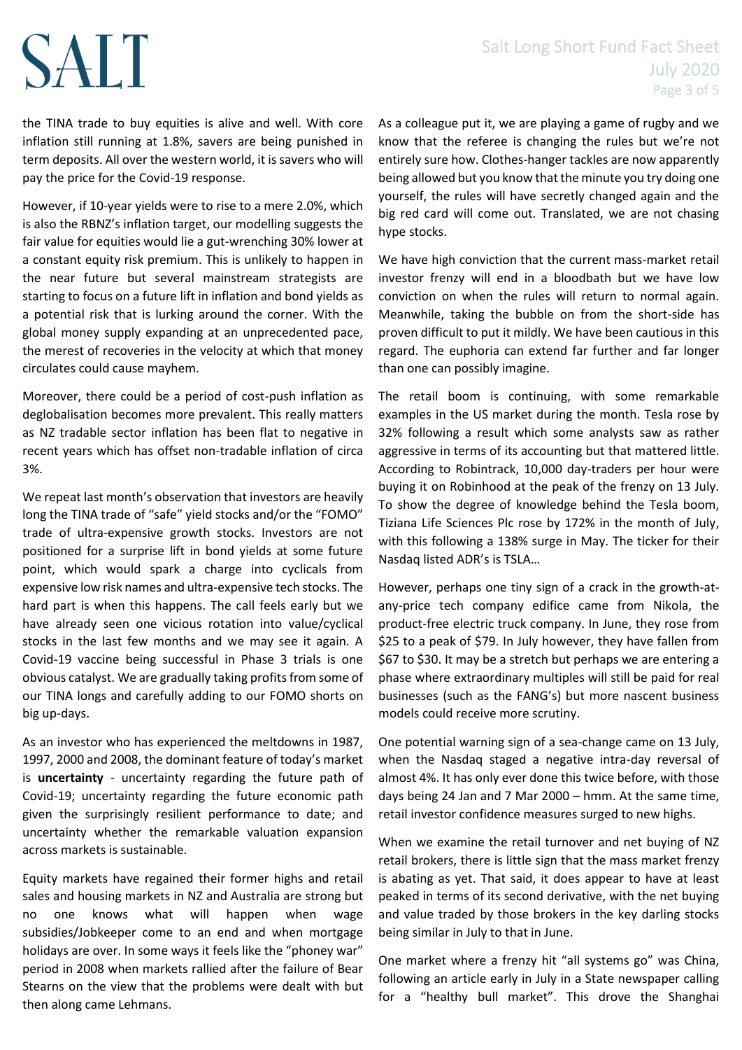### Salt Long Short Fund Fact Sheet July 2020 Page 3 of 5

# SALT

the TINA trade to buy equities is alive and well. With core inflation still running at 1.8%, savers are being punished in term deposits. All over the western world, it is savers who will pay the price for the Covid-19 response.

However, if 10-year yields were to rise to a mere 2.0%, which is also the RBNZ's inflation target, our modelling suggests the fair value for equities would lie a gut-wrenching 30% lower at a constant equity risk premium. This is unlikely to happen in the near future but several mainstream strategists are starting to focus on a future lift in inflation and bond yields as a potential risk that is lurking around the corner. With the global money supply expanding at an unprecedented pace, the merest of recoveries in the velocity at which that money circulates could cause mayhem.

Moreover, there could be a period of cost-push inflation as deglobalisation becomes more prevalent. This really matters as NZ tradable sector inflation has been flat to negative in recent years which has offset non-tradable inflation of circa 3%.

We repeat last month's observation that investors are heavily long the TINA trade of "safe" yield stocks and/or the "FOMO" trade of ultra-expensive growth stocks. Investors are not positioned for a surprise lift in bond yields at some future point, which would spark a charge into cyclicals from expensive low risk names and ultra-expensive tech stocks. The hard part is when this happens. The call feels early but we have already seen one vicious rotation into value/cyclical stocks in the last few months and we may see it again. A Covid-19 vaccine being successful in Phase 3 trials is one obvious catalyst. We are gradually taking profits from some of our TINA longs and carefully adding to our FOMO shorts on big up-days.

As an investor who has experienced the meltdowns in 1987, 1997, 2000 and 2008, the dominant feature of today's market is **uncertainty** - uncertainty regarding the future path of Covid-19; uncertainty regarding the future economic path given the surprisingly resilient performance to date; and uncertainty whether the remarkable valuation expansion across markets is sustainable.

Equity markets have regained their former highs and retail sales and housing markets in NZ and Australia are strong but no one knows what will happen when wage subsidies/Jobkeeper come to an end and when mortgage holidays are over. In some ways it feels like the "phoney war" period in 2008 when markets rallied after the failure of Bear Stearns on the view that the problems were dealt with but then along came Lehmans.

As a colleague put it, we are playing a game of rugby and we know that the referee is changing the rules but we're not entirely sure how. Clothes-hanger tackles are now apparently being allowed but you know that the minute you try doing one yourself, the rules will have secretly changed again and the big red card will come out. Translated, we are not chasing hype stocks.

We have high conviction that the current mass-market retail investor frenzy will end in a bloodbath but we have low conviction on when the rules will return to normal again. Meanwhile, taking the bubble on from the short-side has proven difficult to put it mildly. We have been cautious in this regard. The euphoria can extend far further and far longer than one can possibly imagine.

The retail boom is continuing, with some remarkable examples in the US market during the month. Tesla rose by 32% following a result which some analysts saw as rather aggressive in terms of its accounting but that mattered little. According to Robintrack, 10,000 day-traders per hour were buying it on Robinhood at the peak of the frenzy on 13 July. To show the degree of knowledge behind the Tesla boom, Tiziana Life Sciences Plc rose by 172% in the month of July, with this following a 138% surge in May. The ticker for their Nasdaq listed ADR's is TSLA…

However, perhaps one tiny sign of a crack in the growth-atany-price tech company edifice came from Nikola, the product-free electric truck company. In June, they rose from \$25 to a peak of \$79. In July however, they have fallen from \$67 to \$30. It may be a stretch but perhaps we are entering a phase where extraordinary multiples will still be paid for real businesses (such as the FANG's) but more nascent business models could receive more scrutiny.

One potential warning sign of a sea-change came on 13 July, when the Nasdaq staged a negative intra-day reversal of almost 4%. It has only ever done this twice before, with those days being 24 Jan and 7 Mar 2000 – hmm. At the same time, retail investor confidence measures surged to new highs.

When we examine the retail turnover and net buying of NZ retail brokers, there is little sign that the mass market frenzy is abating as yet. That said, it does appear to have at least peaked in terms of its second derivative, with the net buying and value traded by those brokers in the key darling stocks being similar in July to that in June.

One market where a frenzy hit "all systems go" was China, following an article early in July in a State newspaper calling for a "healthy bull market". This drove the Shanghai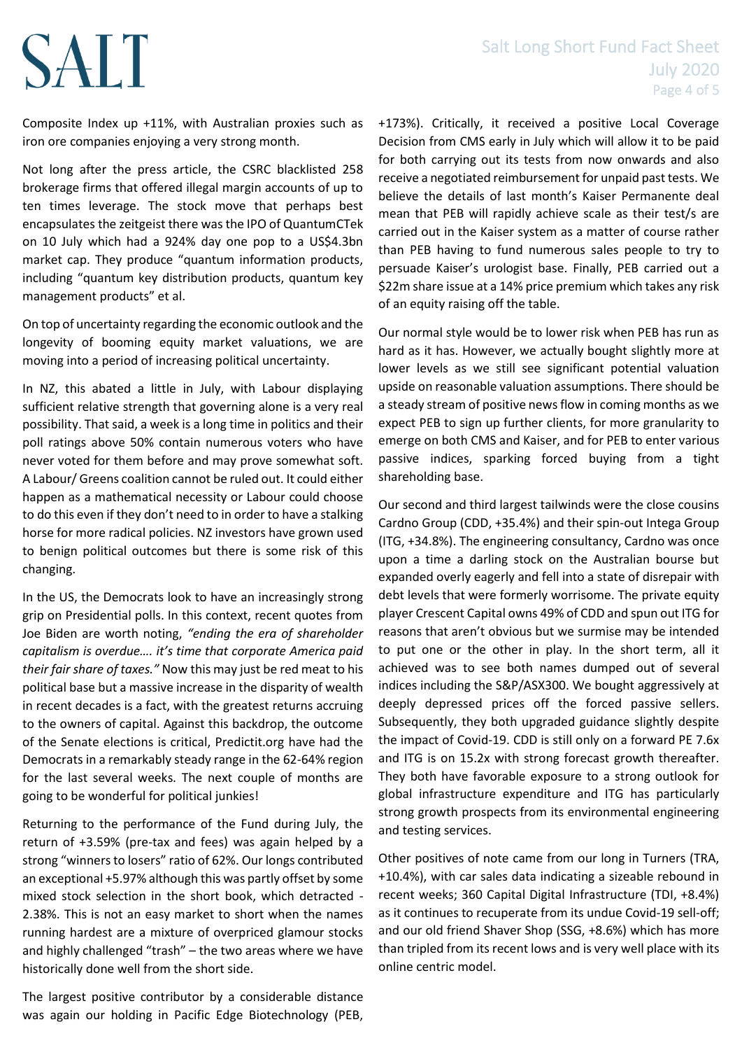### Salt Long Short Fund Fact Sheet July 2020 Page 4 of 5

Composite Index up +11%, with Australian proxies such as iron ore companies enjoying a very strong month.

Not long after the press article, the CSRC blacklisted 258 brokerage firms that offered illegal margin accounts of up to ten times leverage. The stock move that perhaps best encapsulates the zeitgeist there was the IPO of QuantumCTek on 10 July which had a 924% day one pop to a US\$4.3bn market cap. They produce "quantum information products, including "quantum key distribution products, quantum key management products" et al.

On top of uncertainty regarding the economic outlook and the longevity of booming equity market valuations, we are moving into a period of increasing political uncertainty.

In NZ, this abated a little in July, with Labour displaying sufficient relative strength that governing alone is a very real possibility. That said, a week is a long time in politics and their poll ratings above 50% contain numerous voters who have never voted for them before and may prove somewhat soft. A Labour/ Greens coalition cannot be ruled out. It could either happen as a mathematical necessity or Labour could choose to do this even if they don't need to in order to have a stalking horse for more radical policies. NZ investors have grown used to benign political outcomes but there is some risk of this changing.

In the US, the Democrats look to have an increasingly strong grip on Presidential polls. In this context, recent quotes from Joe Biden are worth noting, *"ending the era of shareholder capitalism is overdue…. it's time that corporate America paid their fair share of taxes."* Now this may just be red meat to his political base but a massive increase in the disparity of wealth in recent decades is a fact, with the greatest returns accruing to the owners of capital. Against this backdrop, the outcome of the Senate elections is critical, Predictit.org have had the Democrats in a remarkably steady range in the 62-64% region for the last several weeks. The next couple of months are going to be wonderful for political junkies!

Returning to the performance of the Fund during July, the return of +3.59% (pre-tax and fees) was again helped by a strong "winners to losers" ratio of 62%. Our longs contributed an exceptional +5.97% although this was partly offset by some mixed stock selection in the short book, which detracted - 2.38%. This is not an easy market to short when the names running hardest are a mixture of overpriced glamour stocks and highly challenged "trash" – the two areas where we have historically done well from the short side.

The largest positive contributor by a considerable distance was again our holding in Pacific Edge Biotechnology (PEB, +173%). Critically, it received a positive Local Coverage Decision from CMS early in July which will allow it to be paid for both carrying out its tests from now onwards and also receive a negotiated reimbursement for unpaid past tests. We believe the details of last month's Kaiser Permanente deal mean that PEB will rapidly achieve scale as their test/s are carried out in the Kaiser system as a matter of course rather than PEB having to fund numerous sales people to try to persuade Kaiser's urologist base. Finally, PEB carried out a \$22m share issue at a 14% price premium which takes any risk of an equity raising off the table.

Our normal style would be to lower risk when PEB has run as hard as it has. However, we actually bought slightly more at lower levels as we still see significant potential valuation upside on reasonable valuation assumptions. There should be a steady stream of positive news flow in coming months as we expect PEB to sign up further clients, for more granularity to emerge on both CMS and Kaiser, and for PEB to enter various passive indices, sparking forced buying from a tight shareholding base.

Our second and third largest tailwinds were the close cousins Cardno Group (CDD, +35.4%) and their spin-out Intega Group (ITG, +34.8%). The engineering consultancy, Cardno was once upon a time a darling stock on the Australian bourse but expanded overly eagerly and fell into a state of disrepair with debt levels that were formerly worrisome. The private equity player Crescent Capital owns 49% of CDD and spun out ITG for reasons that aren't obvious but we surmise may be intended to put one or the other in play. In the short term, all it achieved was to see both names dumped out of several indices including the S&P/ASX300. We bought aggressively at deeply depressed prices off the forced passive sellers. Subsequently, they both upgraded guidance slightly despite the impact of Covid-19. CDD is still only on a forward PE 7.6x and ITG is on 15.2x with strong forecast growth thereafter. They both have favorable exposure to a strong outlook for global infrastructure expenditure and ITG has particularly strong growth prospects from its environmental engineering and testing services.

Other positives of note came from our long in Turners (TRA, +10.4%), with car sales data indicating a sizeable rebound in recent weeks; 360 Capital Digital Infrastructure (TDI, +8.4%) as it continues to recuperate from its undue Covid-19 sell-off; and our old friend Shaver Shop (SSG, +8.6%) which has more than tripled from its recent lows and is very well place with its online centric model.

## **SALT**